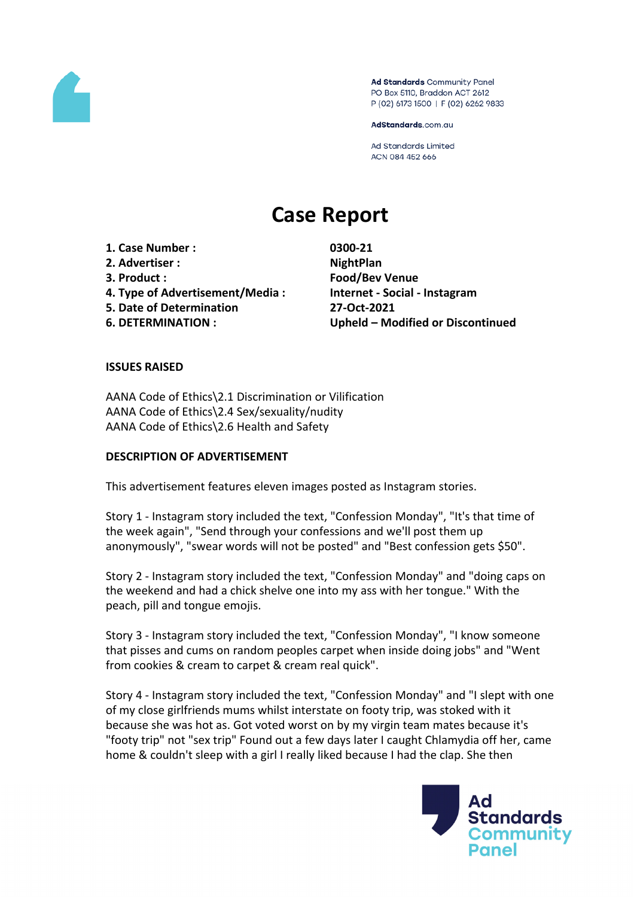

Ad Standards Community Panel PO Box 5110, Braddon ACT 2612 P (02) 6173 1500 | F (02) 6262 9833

AdStandards.com.au

**Ad Standards Limited** ACN 084 452 666

# **Case Report**

**1. Case Number : 0300-21 2. Advertiser : NightPlan 3. Product : Food/Bev Venue 4. Type of Advertisement/Media : Internet - Social - Instagram 5. Date of Determination 27-Oct-2021 6. DETERMINATION : Upheld – Modified or Discontinued**

#### **ISSUES RAISED**

AANA Code of Ethics\2.1 Discrimination or Vilification AANA Code of Ethics\2.4 Sex/sexuality/nudity AANA Code of Ethics\2.6 Health and Safety

#### **DESCRIPTION OF ADVERTISEMENT**

This advertisement features eleven images posted as Instagram stories.

Story 1 - Instagram story included the text, "Confession Monday", "It's that time of the week again", "Send through your confessions and we'll post them up anonymously", "swear words will not be posted" and "Best confession gets \$50".

Story 2 - Instagram story included the text, "Confession Monday" and "doing caps on the weekend and had a chick shelve one into my ass with her tongue." With the peach, pill and tongue emojis.

Story 3 - Instagram story included the text, "Confession Monday", "I know someone that pisses and cums on random peoples carpet when inside doing jobs" and "Went from cookies & cream to carpet & cream real quick".

Story 4 - Instagram story included the text, "Confession Monday" and "I slept with one of my close girlfriends mums whilst interstate on footy trip, was stoked with it because she was hot as. Got voted worst on by my virgin team mates because it's "footy trip" not "sex trip" Found out a few days later I caught Chlamydia off her, came home & couldn't sleep with a girl I really liked because I had the clap. She then

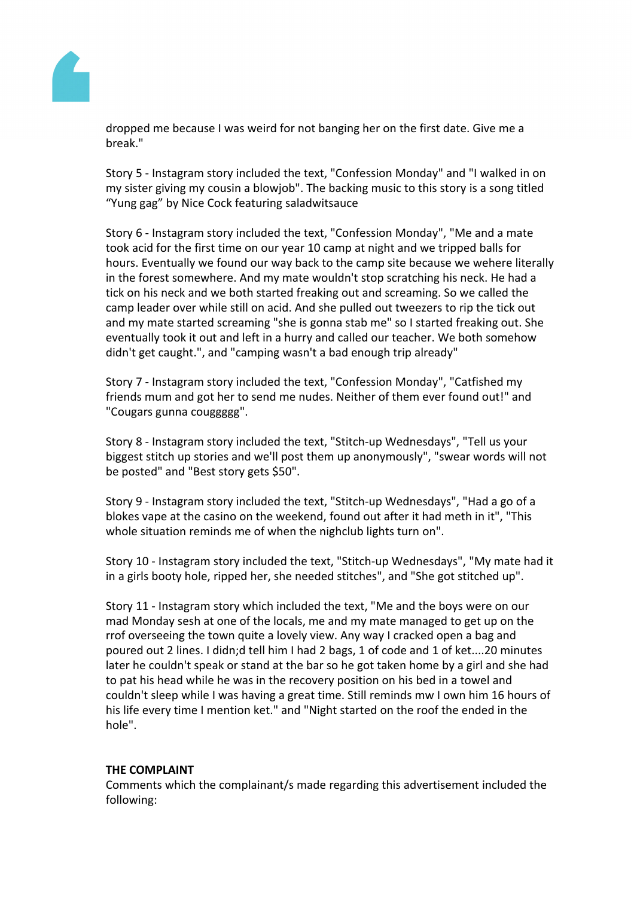

dropped me because I was weird for not banging her on the first date. Give me a break."

Story 5 - Instagram story included the text, "Confession Monday" and "I walked in on my sister giving my cousin a blowjob". The backing music to this story is a song titled "Yung gag" by Nice Cock featuring saladwitsauce

Story 6 - Instagram story included the text, "Confession Monday", "Me and a mate took acid for the first time on our year 10 camp at night and we tripped balls for hours. Eventually we found our way back to the camp site because we wehere literally in the forest somewhere. And my mate wouldn't stop scratching his neck. He had a tick on his neck and we both started freaking out and screaming. So we called the camp leader over while still on acid. And she pulled out tweezers to rip the tick out and my mate started screaming "she is gonna stab me" so I started freaking out. She eventually took it out and left in a hurry and called our teacher. We both somehow didn't get caught.", and "camping wasn't a bad enough trip already"

Story 7 - Instagram story included the text, "Confession Monday", "Catfished my friends mum and got her to send me nudes. Neither of them ever found out!" and "Cougars gunna couggggg".

Story 8 - Instagram story included the text, "Stitch-up Wednesdays", "Tell us your biggest stitch up stories and we'll post them up anonymously", "swear words will not be posted" and "Best story gets \$50".

Story 9 - Instagram story included the text, "Stitch-up Wednesdays", "Had a go of a blokes vape at the casino on the weekend, found out after it had meth in it", "This whole situation reminds me of when the nighclub lights turn on".

Story 10 - Instagram story included the text, "Stitch-up Wednesdays", "My mate had it in a girls booty hole, ripped her, she needed stitches", and "She got stitched up".

Story 11 - Instagram story which included the text, "Me and the boys were on our mad Monday sesh at one of the locals, me and my mate managed to get up on the rrof overseeing the town quite a lovely view. Any way I cracked open a bag and poured out 2 lines. I didn;d tell him I had 2 bags, 1 of code and 1 of ket....20 minutes later he couldn't speak or stand at the bar so he got taken home by a girl and she had to pat his head while he was in the recovery position on his bed in a towel and couldn't sleep while I was having a great time. Still reminds mw I own him 16 hours of his life every time I mention ket." and "Night started on the roof the ended in the hole".

## **THE COMPLAINT**

Comments which the complainant/s made regarding this advertisement included the following: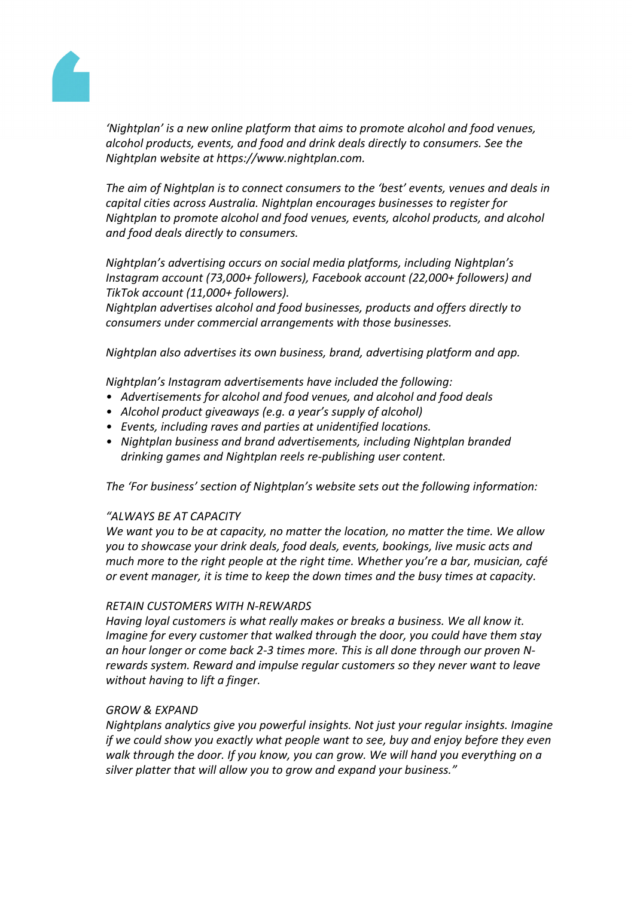

*'Nightplan' is a new online platform that aims to promote alcohol and food venues, alcohol products, events, and food and drink deals directly to consumers. See the Nightplan website at https://www.nightplan.com.*

*The aim of Nightplan is to connect consumers to the 'best' events, venues and deals in capital cities across Australia. Nightplan encourages businesses to register for Nightplan to promote alcohol and food venues, events, alcohol products, and alcohol and food deals directly to consumers.*

*Nightplan's advertising occurs on social media platforms, including Nightplan's Instagram account (73,000+ followers), Facebook account (22,000+ followers) and TikTok account (11,000+ followers).* 

*Nightplan advertises alcohol and food businesses, products and offers directly to consumers under commercial arrangements with those businesses.*

*Nightplan also advertises its own business, brand, advertising platform and app.*

*Nightplan's Instagram advertisements have included the following:*

- *• Advertisements for alcohol and food venues, and alcohol and food deals*
- *• Alcohol product giveaways (e.g. a year's supply of alcohol)*
- *• Events, including raves and parties at unidentified locations.*
- *• Nightplan business and brand advertisements, including Nightplan branded drinking games and Nightplan reels re-publishing user content.*

*The 'For business' section of Nightplan's website sets out the following information:*

#### *"ALWAYS BE AT CAPACITY*

*We want you to be at capacity, no matter the location, no matter the time. We allow you to showcase your drink deals, food deals, events, bookings, live music acts and much more to the right people at the right time. Whether you're a bar, musician, café or event manager, it is time to keep the down times and the busy times at capacity.*

#### *RETAIN CUSTOMERS WITH N-REWARDS*

*Having loyal customers is what really makes or breaks a business. We all know it. Imagine for every customer that walked through the door, you could have them stay an hour longer or come back 2-3 times more. This is all done through our proven Nrewards system. Reward and impulse regular customers so they never want to leave without having to lift a finger.*

#### *GROW & EXPAND*

*Nightplans analytics give you powerful insights. Not just your regular insights. Imagine if we could show you exactly what people want to see, buy and enjoy before they even walk through the door. If you know, you can grow. We will hand you everything on a silver platter that will allow you to grow and expand your business."*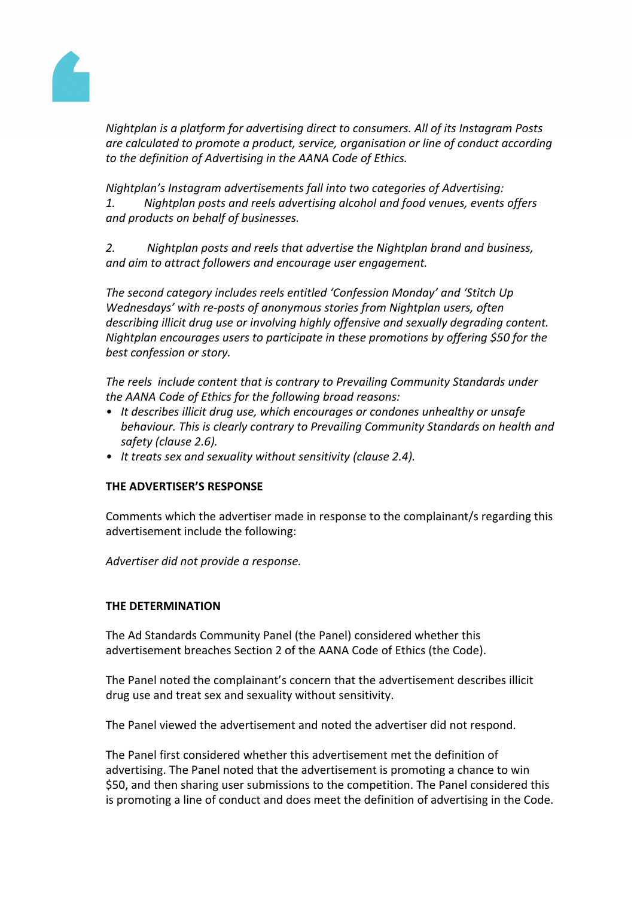

*Nightplan is a platform for advertising direct to consumers. All of its Instagram Posts are calculated to promote a product, service, organisation or line of conduct according to the definition of Advertising in the AANA Code of Ethics.*

*Nightplan's Instagram advertisements fall into two categories of Advertising: 1. Nightplan posts and reels advertising alcohol and food venues, events offers and products on behalf of businesses.*

*2. Nightplan posts and reels that advertise the Nightplan brand and business, and aim to attract followers and encourage user engagement.*

*The second category includes reels entitled 'Confession Monday' and 'Stitch Up Wednesdays' with re-posts of anonymous stories from Nightplan users, often describing illicit drug use or involving highly offensive and sexually degrading content. Nightplan encourages users to participate in these promotions by offering \$50 for the best confession or story.*

*The reels include content that is contrary to Prevailing Community Standards under the AANA Code of Ethics for the following broad reasons:*

- *• It describes illicit drug use, which encourages or condones unhealthy or unsafe behaviour. This is clearly contrary to Prevailing Community Standards on health and safety (clause 2.6).*
- *• It treats sex and sexuality without sensitivity (clause 2.4).*

# **THE ADVERTISER'S RESPONSE**

Comments which the advertiser made in response to the complainant/s regarding this advertisement include the following:

*Advertiser did not provide a response.*

## **THE DETERMINATION**

The Ad Standards Community Panel (the Panel) considered whether this advertisement breaches Section 2 of the AANA Code of Ethics (the Code).

The Panel noted the complainant's concern that the advertisement describes illicit drug use and treat sex and sexuality without sensitivity.

The Panel viewed the advertisement and noted the advertiser did not respond.

The Panel first considered whether this advertisement met the definition of advertising. The Panel noted that the advertisement is promoting a chance to win \$50, and then sharing user submissions to the competition. The Panel considered this is promoting a line of conduct and does meet the definition of advertising in the Code.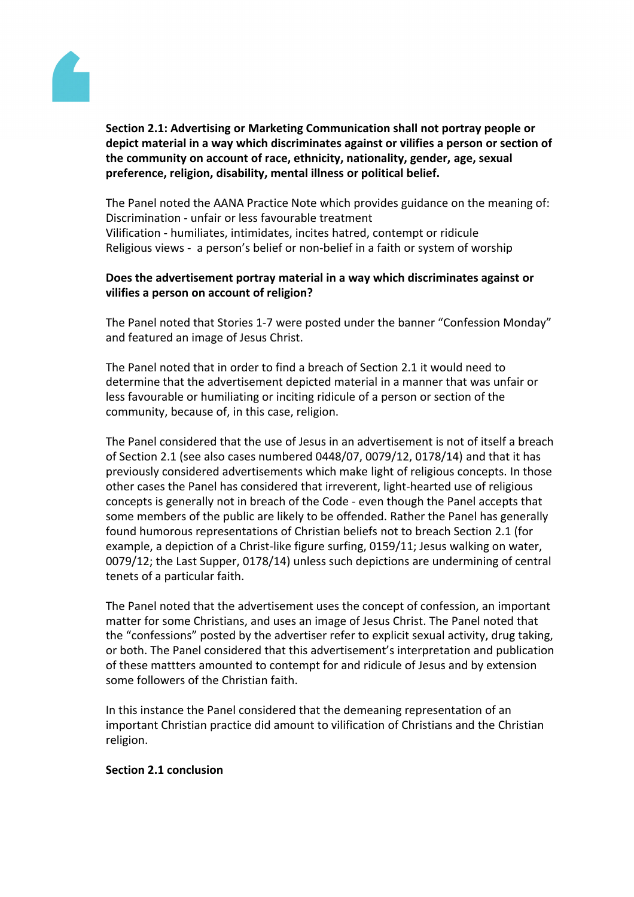

**Section 2.1: Advertising or Marketing Communication shall not portray people or depict material in a way which discriminates against or vilifies a person or section of the community on account of race, ethnicity, nationality, gender, age, sexual preference, religion, disability, mental illness or political belief.**

The Panel noted the AANA Practice Note which provides guidance on the meaning of: Discrimination - unfair or less favourable treatment Vilification - humiliates, intimidates, incites hatred, contempt or ridicule Religious views - a person's belief or non-belief in a faith or system of worship

# **Does the advertisement portray material in a way which discriminates against or vilifies a person on account of religion?**

The Panel noted that Stories 1-7 were posted under the banner "Confession Monday" and featured an image of Jesus Christ.

The Panel noted that in order to find a breach of Section 2.1 it would need to determine that the advertisement depicted material in a manner that was unfair or less favourable or humiliating or inciting ridicule of a person or section of the community, because of, in this case, religion.

The Panel considered that the use of Jesus in an advertisement is not of itself a breach of Section 2.1 (see also cases numbered 0448/07, 0079/12, 0178/14) and that it has previously considered advertisements which make light of religious concepts. In those other cases the Panel has considered that irreverent, light-hearted use of religious concepts is generally not in breach of the Code - even though the Panel accepts that some members of the public are likely to be offended. Rather the Panel has generally found humorous representations of Christian beliefs not to breach Section 2.1 (for example, a depiction of a Christ-like figure surfing, 0159/11; Jesus walking on water, 0079/12; the Last Supper, 0178/14) unless such depictions are undermining of central tenets of a particular faith.

The Panel noted that the advertisement uses the concept of confession, an important matter for some Christians, and uses an image of Jesus Christ. The Panel noted that the "confessions" posted by the advertiser refer to explicit sexual activity, drug taking, or both. The Panel considered that this advertisement's interpretation and publication of these mattters amounted to contempt for and ridicule of Jesus and by extension some followers of the Christian faith.

In this instance the Panel considered that the demeaning representation of an important Christian practice did amount to vilification of Christians and the Christian religion.

## **Section 2.1 conclusion**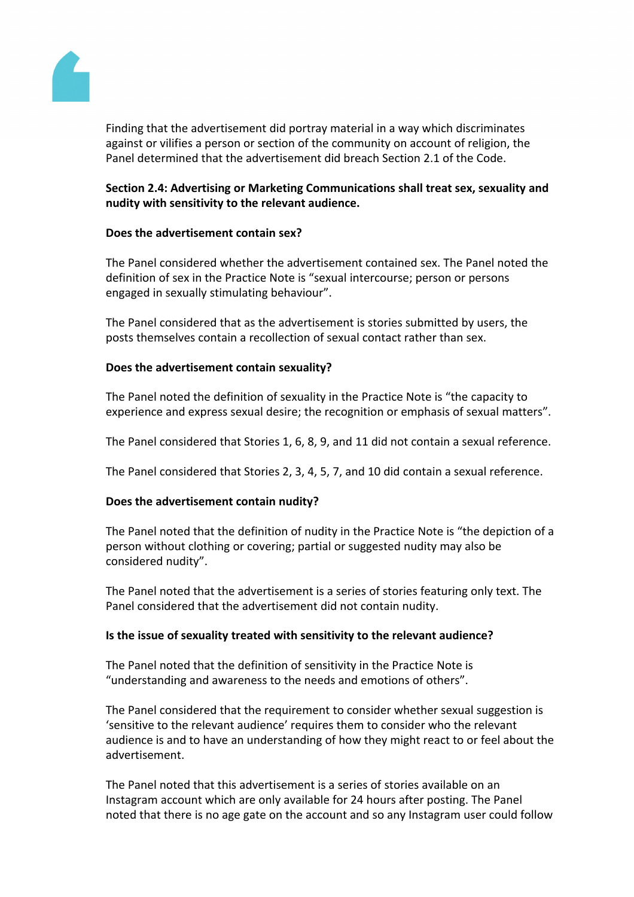

Finding that the advertisement did portray material in a way which discriminates against or vilifies a person or section of the community on account of religion, the Panel determined that the advertisement did breach Section 2.1 of the Code.

# **Section 2.4: Advertising or Marketing Communications shall treat sex, sexuality and nudity with sensitivity to the relevant audience.**

# **Does the advertisement contain sex?**

The Panel considered whether the advertisement contained sex. The Panel noted the definition of sex in the Practice Note is "sexual intercourse; person or persons engaged in sexually stimulating behaviour".

The Panel considered that as the advertisement is stories submitted by users, the posts themselves contain a recollection of sexual contact rather than sex.

# **Does the advertisement contain sexuality?**

The Panel noted the definition of sexuality in the Practice Note is "the capacity to experience and express sexual desire; the recognition or emphasis of sexual matters".

The Panel considered that Stories 1, 6, 8, 9, and 11 did not contain a sexual reference.

The Panel considered that Stories 2, 3, 4, 5, 7, and 10 did contain a sexual reference.

## **Does the advertisement contain nudity?**

The Panel noted that the definition of nudity in the Practice Note is "the depiction of a person without clothing or covering; partial or suggested nudity may also be considered nudity".

The Panel noted that the advertisement is a series of stories featuring only text. The Panel considered that the advertisement did not contain nudity.

## **Is the issue of sexuality treated with sensitivity to the relevant audience?**

The Panel noted that the definition of sensitivity in the Practice Note is "understanding and awareness to the needs and emotions of others".

The Panel considered that the requirement to consider whether sexual suggestion is 'sensitive to the relevant audience' requires them to consider who the relevant audience is and to have an understanding of how they might react to or feel about the advertisement.

The Panel noted that this advertisement is a series of stories available on an Instagram account which are only available for 24 hours after posting. The Panel noted that there is no age gate on the account and so any Instagram user could follow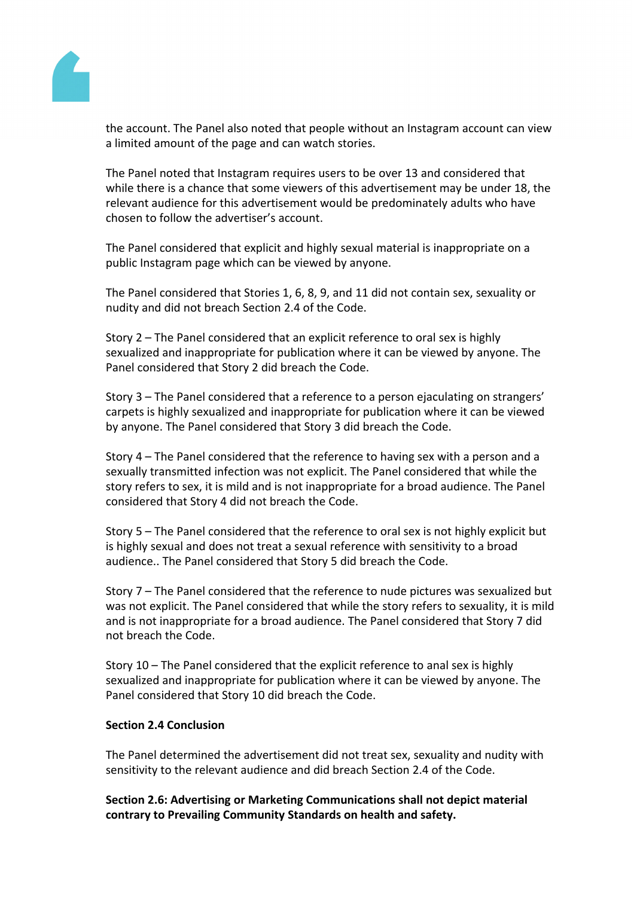

the account. The Panel also noted that people without an Instagram account can view a limited amount of the page and can watch stories.

The Panel noted that Instagram requires users to be over 13 and considered that while there is a chance that some viewers of this advertisement may be under 18, the relevant audience for this advertisement would be predominately adults who have chosen to follow the advertiser's account.

The Panel considered that explicit and highly sexual material is inappropriate on a public Instagram page which can be viewed by anyone.

The Panel considered that Stories 1, 6, 8, 9, and 11 did not contain sex, sexuality or nudity and did not breach Section 2.4 of the Code.

Story 2 – The Panel considered that an explicit reference to oral sex is highly sexualized and inappropriate for publication where it can be viewed by anyone. The Panel considered that Story 2 did breach the Code.

Story 3 – The Panel considered that a reference to a person ejaculating on strangers' carpets is highly sexualized and inappropriate for publication where it can be viewed by anyone. The Panel considered that Story 3 did breach the Code.

Story 4 – The Panel considered that the reference to having sex with a person and a sexually transmitted infection was not explicit. The Panel considered that while the story refers to sex, it is mild and is not inappropriate for a broad audience. The Panel considered that Story 4 did not breach the Code.

Story 5 – The Panel considered that the reference to oral sex is not highly explicit but is highly sexual and does not treat a sexual reference with sensitivity to a broad audience.. The Panel considered that Story 5 did breach the Code.

Story 7 – The Panel considered that the reference to nude pictures was sexualized but was not explicit. The Panel considered that while the story refers to sexuality, it is mild and is not inappropriate for a broad audience. The Panel considered that Story 7 did not breach the Code.

Story 10 – The Panel considered that the explicit reference to anal sex is highly sexualized and inappropriate for publication where it can be viewed by anyone. The Panel considered that Story 10 did breach the Code.

## **Section 2.4 Conclusion**

The Panel determined the advertisement did not treat sex, sexuality and nudity with sensitivity to the relevant audience and did breach Section 2.4 of the Code.

**Section 2.6: Advertising or Marketing Communications shall not depict material contrary to Prevailing Community Standards on health and safety.**